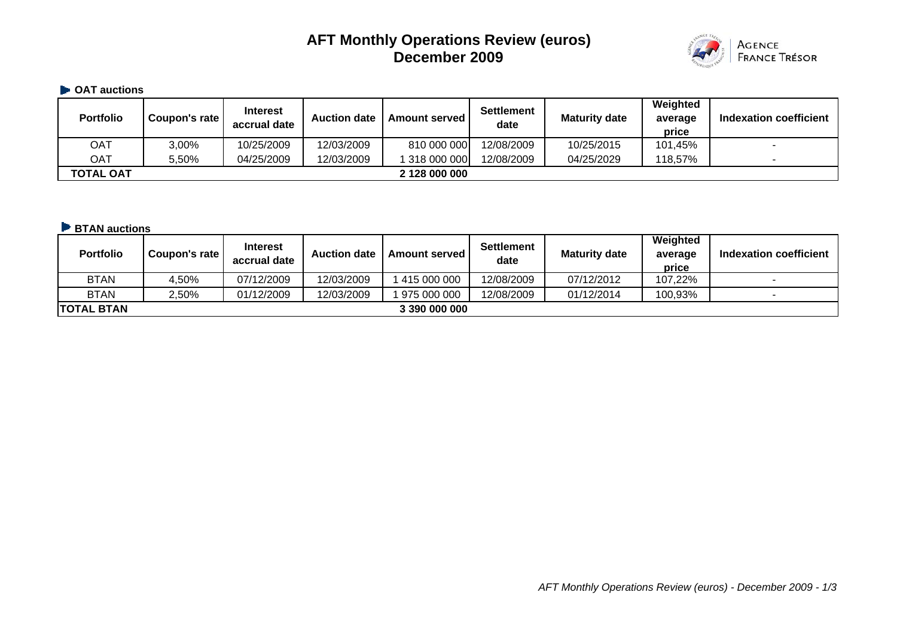# **AFT Monthly Operations Review (euros) December 2009**



## $\blacksquare$  **OAT auctions**

| <b>Portfolio</b> | Coupon's rate | <b>Interest</b><br>accrual date | <b>Auction date</b> | <b>Amount served I</b> | <b>Settlement</b><br>date | <b>Maturity date</b> | Weighted<br>average<br>price | <b>Indexation coefficient</b> |
|------------------|---------------|---------------------------------|---------------------|------------------------|---------------------------|----------------------|------------------------------|-------------------------------|
| OAT              | 3,00%         | 10/25/2009                      | 12/03/2009          | 810 000 000            | 12/08/2009                | 10/25/2015           | 101,45%                      | -                             |
| OAT              | 5,50%         | 04/25/2009                      | 12/03/2009          | 1 318 000 000          | 12/08/2009                | 04/25/2029           | 118,57%                      |                               |
| TOTAL OAT        |               |                                 |                     | 2 128 000 000          |                           |                      |                              |                               |

#### **BTAN auctions**

| <b>Portfolio</b>  | Coupon's rate | <b>Interest</b><br>accrual date | <b>Auction date</b> | <b>Amount served</b> | <b>Settlement</b><br>date | <b>Maturity date</b> | Weighted<br>average<br>price | <b>Indexation coefficient</b> |
|-------------------|---------------|---------------------------------|---------------------|----------------------|---------------------------|----------------------|------------------------------|-------------------------------|
| <b>BTAN</b>       | 4.50%         | 07/12/2009                      | 12/03/2009          | 415 000 000          | 12/08/2009                | 07/12/2012           | 107,22%                      | -                             |
| <b>BTAN</b>       | 2,50%         | 01/12/2009                      | 12/03/2009          | 975 000 000          | 12/08/2009                | 01/12/2014           | 100,93%                      |                               |
| <b>TOTAL BTAN</b> |               |                                 |                     | 3 390 000 000        |                           |                      |                              |                               |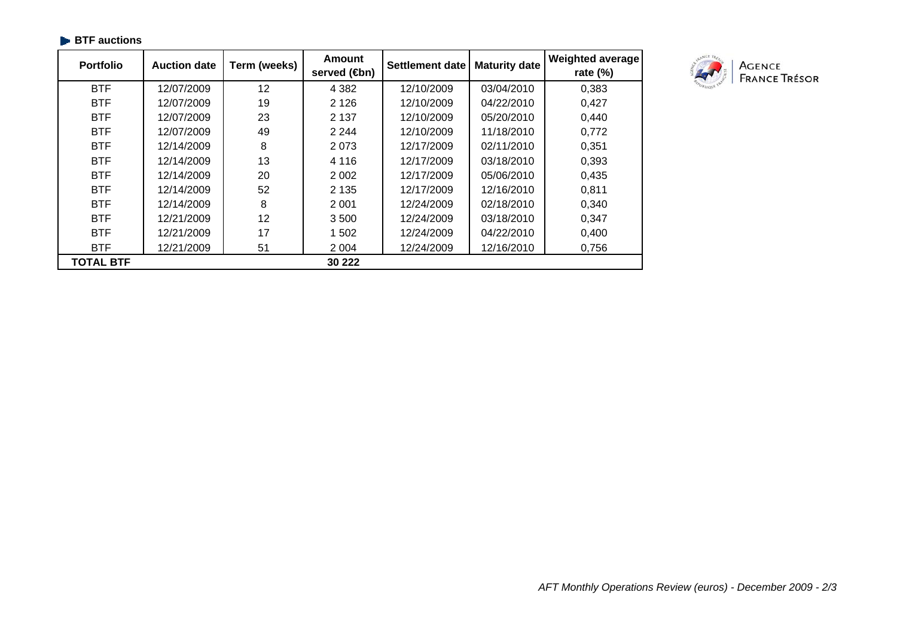| <b>Portfolio</b> | <b>Auction date</b> | Term (weeks) | Amount<br>served (sm) | Settlement date | <b>Maturity date</b> | <b>Weighted average</b><br>rate $(\%)$ |
|------------------|---------------------|--------------|-----------------------|-----------------|----------------------|----------------------------------------|
| <b>BTF</b>       | 12/07/2009          | 12           | 4 3 8 2               | 12/10/2009      | 03/04/2010           | 0,383                                  |
| <b>BTF</b>       | 12/07/2009          | 19           | 2 1 2 6               | 12/10/2009      | 04/22/2010           | 0,427                                  |
| <b>BTF</b>       | 12/07/2009          | 23           | 2 1 3 7               | 12/10/2009      | 05/20/2010           | 0,440                                  |
| <b>BTF</b>       | 12/07/2009          | 49           | 2 2 4 4               | 12/10/2009      | 11/18/2010           | 0,772                                  |
| <b>BTF</b>       | 12/14/2009          | 8            | 2073                  | 12/17/2009      | 02/11/2010           | 0,351                                  |
| <b>BTF</b>       | 12/14/2009          | 13           | 4 1 1 6               | 12/17/2009      | 03/18/2010           | 0,393                                  |
| <b>BTF</b>       | 12/14/2009          | 20           | 2 0 0 2               | 12/17/2009      | 05/06/2010           | 0,435                                  |
| <b>BTF</b>       | 12/14/2009          | 52           | 2 1 3 5               | 12/17/2009      | 12/16/2010           | 0,811                                  |
| <b>BTF</b>       | 12/14/2009          | 8            | 2 0 0 1               | 12/24/2009      | 02/18/2010           | 0,340                                  |
| <b>BTF</b>       | 12/21/2009          | 12           | 3500                  | 12/24/2009      | 03/18/2010           | 0,347                                  |
| <b>BTF</b>       | 12/21/2009          | 17           | 1 502                 | 12/24/2009      | 04/22/2010           | 0,400                                  |
| <b>BTF</b>       | 12/21/2009          | 51           | 2 0 0 4               | 12/24/2009      | 12/16/2010           | 0,756                                  |
| <b>TOTAL BTF</b> |                     |              | 30 222                |                 |                      |                                        |